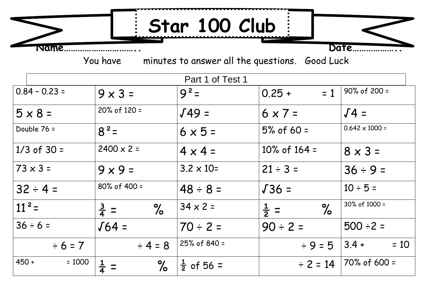**Name………………………….. Date……………….. Star 100 Club**

You have minutes to answer all the questions. Good Luck

| Part 1 of Test 1    |                         |                       |                         |                       |  |  |
|---------------------|-------------------------|-----------------------|-------------------------|-----------------------|--|--|
| $0.84 - 0.23 =$     | $9 \times 3 =$          | $9^2$ =               | $0.25 +$<br>$= 1$       | $90\%$ of 200 =       |  |  |
| $5 \times 8 =$      | $20\%$ of 120 =         | $J49 =$               | $6 \times 7 =$          | $\sqrt{4}$ =          |  |  |
| Double 76 =         | $8^2$ =                 | $6 \times 5 =$        | $5%$ of 60 =            | $0.642 \times 1000 =$ |  |  |
| $1/3$ of 30 =       | $2400 \times 2 =$       | $4 \times 4 =$        | $10\%$ of 164 =         | $8 \times 3 =$        |  |  |
| $73 \times 3 =$     | $9 \times 9 =$          | $3.2 \times 10=$      | $21 \div 3 =$           | $36 \div 9 =$         |  |  |
| $32 \div 4 =$       | $80\%$ of 400 =         | $48 \div 8 =$         | $J36 =$                 | $10 \div 5 =$         |  |  |
| $11^2$ =            | $\%$<br>$\frac{3}{4}$ = | $34 \times 2 =$       | $\%$<br>$\frac{1}{2}$ = | 30% of 1000 =         |  |  |
| $36 \div 6 =$       | $\sqrt{64}$ =           | $70 \div 2 =$         | $90 \div 2 =$           | $500 \div 2 =$        |  |  |
| $\div 6 = 7$        | $\div 4 = 8$            | 25% of 840 =          | $\div 9 = 5$            | $= 10$<br>$3.4 +$     |  |  |
| $450 +$<br>$= 1000$ | $\frac{1}{4}$<br>$\%$   | $\frac{1}{2}$ of 56 = | $\div$ 2 = 14           | $70\%$ of 600 =       |  |  |